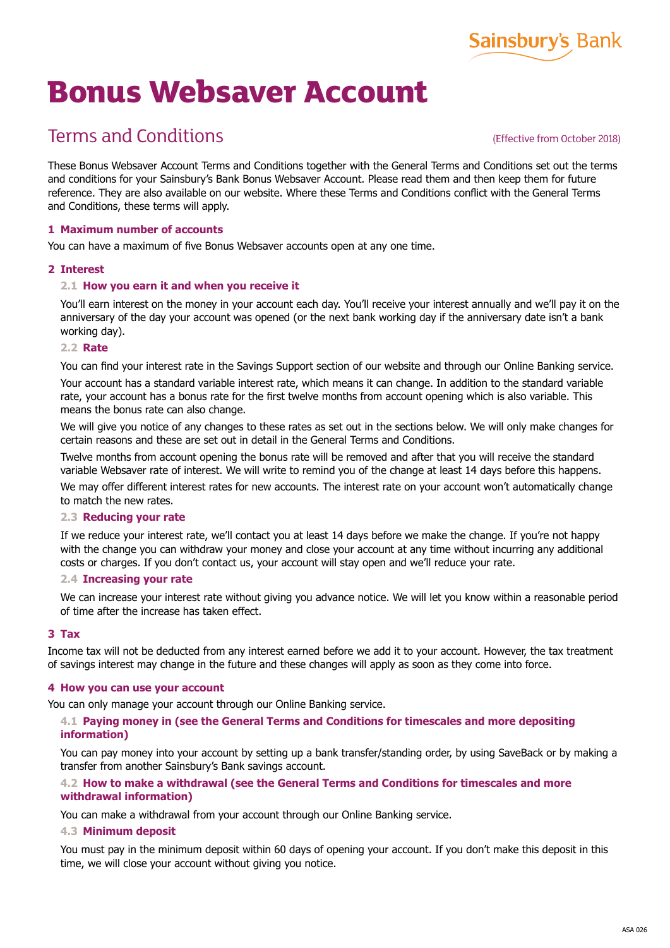

# **Bonus Websaver Account**

## Terms and Conditions

#### (Effective from October 2018)

These Bonus Websaver Account Terms and Conditions together with the General Terms and Conditions set out the terms and conditions for your Sainsbury's Bank Bonus Websaver Account. Please read them and then keep them for future reference. They are also available on our website. Where these Terms and Conditions conflict with the General Terms and Conditions, these terms will apply.

#### **1 Maximum number of accounts**

You can have a maximum of five Bonus Websaver accounts open at any one time.

#### **2 Interest**

#### **2.1 How you earn it and when you receive it**

You'll earn interest on the money in your account each day. You'll receive your interest annually and we'll pay it on the anniversary of the day your account was opened (or the next bank working day if the anniversary date isn't a bank working day).

#### **2.2 Rate**

You can find your interest rate in the Savings Support section of our website and through our Online Banking service. Your account has a standard variable interest rate, which means it can change. In addition to the standard variable rate, your account has a bonus rate for the first twelve months from account opening which is also variable. This means the bonus rate can also change.

We will give you notice of any changes to these rates as set out in the sections below. We will only make changes for certain reasons and these are set out in detail in the General Terms and Conditions.

Twelve months from account opening the bonus rate will be removed and after that you will receive the standard variable Websaver rate of interest. We will write to remind you of the change at least 14 days before this happens.

We may offer different interest rates for new accounts. The interest rate on your account won't automatically change to match the new rates.

#### **2.3 Reducing your rate**

If we reduce your interest rate, we'll contact you at least 14 days before we make the change. If you're not happy with the change you can withdraw your money and close your account at any time without incurring any additional costs or charges. If you don't contact us, your account will stay open and we'll reduce your rate.

#### **2.4 Increasing your rate**

We can increase your interest rate without giving you advance notice. We will let you know within a reasonable period of time after the increase has taken effect.

#### **3 Tax**

Income tax will not be deducted from any interest earned before we add it to your account. However, the tax treatment of savings interest may change in the future and these changes will apply as soon as they come into force.

#### **4 How you can use your account**

You can only manage your account through our Online Banking service.

#### **4.1 Paying money in (see the General Terms and Conditions for timescales and more depositing information)**

You can pay money into your account by setting up a bank transfer/standing order, by using SaveBack or by making a transfer from another Sainsbury's Bank savings account.

#### **4.2 How to make a withdrawal (see the General Terms and Conditions for timescales and more withdrawal information)**

You can make a withdrawal from your account through our Online Banking service.

#### **4.3 Minimum deposit**

You must pay in the minimum deposit within 60 days of opening your account. If you don't make this deposit in this time, we will close your account without giving you notice.